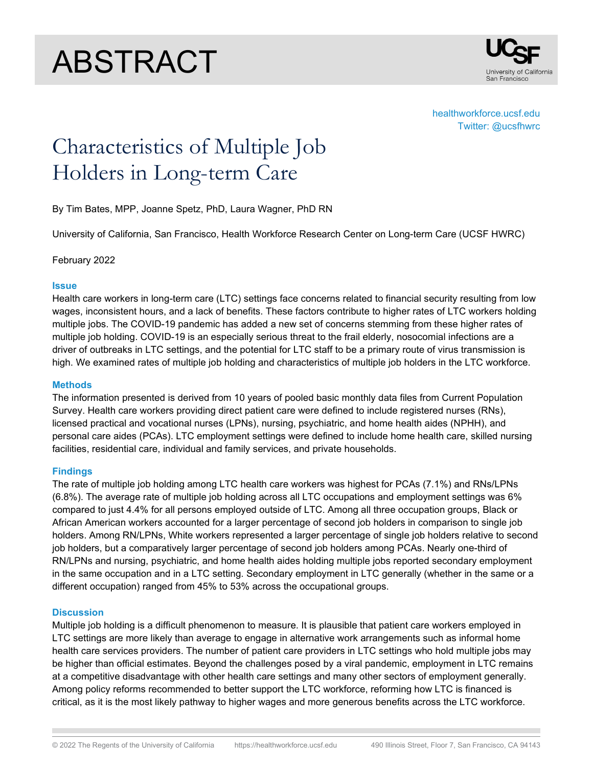# ABSTRACT



healthworkforce.ucsf.edu Twitter: @ucsfhwrc

# Characteristics of Multiple Job Holders in Long-term Care

By Tim Bates, MPP, Joanne Spetz, PhD, Laura Wagner, PhD RN

University of California, San Francisco, Health Workforce Research Center on Long-term Care (UCSF HWRC)

February 2022

#### **Issue**

Health care workers in long-term care (LTC) settings face concerns related to financial security resulting from low wages, inconsistent hours, and a lack of benefits. These factors contribute to higher rates of LTC workers holding multiple jobs. The COVID-19 pandemic has added a new set of concerns stemming from these higher rates of multiple job holding. COVID-19 is an especially serious threat to the frail elderly, nosocomial infections are a driver of outbreaks in LTC settings, and the potential for LTC staff to be a primary route of virus transmission is high. We examined rates of multiple job holding and characteristics of multiple job holders in the LTC workforce.

#### **Methods**

The information presented is derived from 10 years of pooled basic monthly data files from Current Population Survey. Health care workers providing direct patient care were defined to include registered nurses (RNs), licensed practical and vocational nurses (LPNs), nursing, psychiatric, and home health aides (NPHH), and personal care aides (PCAs). LTC employment settings were defined to include home health care, skilled nursing facilities, residential care, individual and family services, and private households.

## **Findings**

The rate of multiple job holding among LTC health care workers was highest for PCAs (7.1%) and RNs/LPNs (6.8%). The average rate of multiple job holding across all LTC occupations and employment settings was 6% compared to just 4.4% for all persons employed outside of LTC. Among all three occupation groups, Black or African American workers accounted for a larger percentage of second job holders in comparison to single job holders. Among RN/LPNs, White workers represented a larger percentage of single job holders relative to second job holders, but a comparatively larger percentage of second job holders among PCAs. Nearly one-third of RN/LPNs and nursing, psychiatric, and home health aides holding multiple jobs reported secondary employment in the same occupation and in a LTC setting. Secondary employment in LTC generally (whether in the same or a different occupation) ranged from 45% to 53% across the occupational groups.

## **Discussion**

Multiple job holding is a difficult phenomenon to measure. It is plausible that patient care workers employed in LTC settings are more likely than average to engage in alternative work arrangements such as informal home health care services providers. The number of patient care providers in LTC settings who hold multiple jobs may be higher than official estimates. Beyond the challenges posed by a viral pandemic, employment in LTC remains at a competitive disadvantage with other health care settings and many other sectors of employment generally. Among policy reforms recommended to better support the LTC workforce, reforming how LTC is financed is critical, as it is the most likely pathway to higher wages and more generous benefits across the LTC workforce.